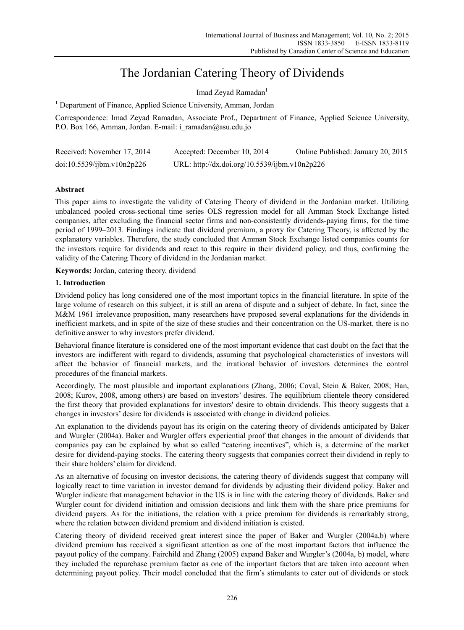# The Jordanian Catering Theory of Dividends

Imad Zeyad Ramadan<sup>1</sup>

<sup>1</sup> Department of Finance, Applied Science University, Amman, Jordan

Correspondence: Imad Zeyad Ramadan, Associate Prof., Department of Finance, Applied Science University, P.O. Box 166, Amman, Jordan. E-mail: i\_ramadan@asu.edu.jo

| Received: November 17, 2014 | Accepted: December 10, 2014                   | Online Published: January 20, 2015 |
|-----------------------------|-----------------------------------------------|------------------------------------|
| doi:10.5539/ijbm.v10n2p226  | URL: http://dx.doi.org/10.5539/ijbm.v10n2p226 |                                    |

# **Abstract**

This paper aims to investigate the validity of Catering Theory of dividend in the Jordanian market. Utilizing unbalanced pooled cross-sectional time series OLS regression model for all Amman Stock Exchange listed companies, after excluding the financial sector firms and non-consistently dividends-paying firms, for the time period of 1999–2013. Findings indicate that dividend premium, a proxy for Catering Theory, is affected by the explanatory variables. Therefore, the study concluded that Amman Stock Exchange listed companies counts for the investors require for dividends and react to this require in their dividend policy, and thus, confirming the validity of the Catering Theory of dividend in the Jordanian market.

**Keywords:** Jordan, catering theory, dividend

# **1. Introduction**

Dividend policy has long considered one of the most important topics in the financial literature. In spite of the large volume of research on this subject, it is still an arena of dispute and a subject of debate. In fact, since the M&M 1961 irrelevance proposition, many researchers have proposed several explanations for the dividends in inefficient markets, and in spite of the size of these studies and their concentration on the US-market, there is no definitive answer to why investors prefer dividend.

Behavioral finance literature is considered one of the most important evidence that cast doubt on the fact that the investors are indifferent with regard to dividends, assuming that psychological characteristics of investors will affect the behavior of financial markets, and the irrational behavior of investors determines the control procedures of the financial markets.

Accordingly, The most plausible and important explanations (Zhang, 2006; Coval, Stein & Baker, 2008; Han, 2008; Kurov, 2008, among others) are based on investors' desires. The equilibrium clientele theory considered the first theory that provided explanations for investors' desire to obtain dividends. This theory suggests that a changes in investors' desire for dividends is associated with change in dividend policies.

An explanation to the dividends payout has its origin on the catering theory of dividends anticipated by Baker and Wurgler (2004a). Baker and Wurgler offers experiential proof that changes in the amount of dividends that companies pay can be explained by what so called "catering incentives", which is, a determine of the market desire for dividend-paying stocks. The catering theory suggests that companies correct their dividend in reply to their share holders' claim for dividend.

As an alternative of focusing on investor decisions, the catering theory of dividends suggest that company will logically react to time variation in investor demand for dividends by adjusting their dividend policy. Baker and Wurgler indicate that management behavior in the US is in line with the catering theory of dividends. Baker and Wurgler count for dividend initiation and omission decisions and link them with the share price premiums for dividend payers. As for the initiations, the relation with a price premium for dividends is remarkably strong, where the relation between dividend premium and dividend initiation is existed.

Catering theory of dividend received great interest since the paper of Baker and Wurgler (2004a,b) where dividend premium has received a significant attention as one of the most important factors that influence the payout policy of the company. Fairchild and Zhang (2005) expand Baker and Wurgler's (2004a, b) model, where they included the repurchase premium factor as one of the important factors that are taken into account when determining payout policy. Their model concluded that the firm's stimulants to cater out of dividends or stock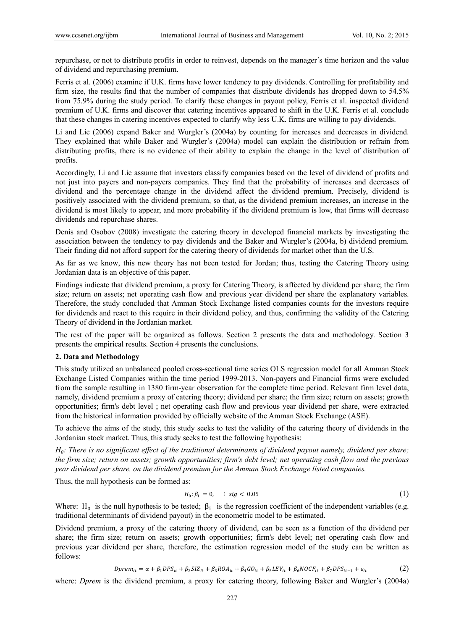repurchase, or not to distribute profits in order to reinvest, depends on the manager's time horizon and the value of dividend and repurchasing premium.

Ferris et al. (2006) examine if U.K. firms have lower tendency to pay dividends. Controlling for profitability and firm size, the results find that the number of companies that distribute dividends has dropped down to 54.5% from 75.9% during the study period. To clarify these changes in payout policy, Ferris et al. inspected dividend premium of U.K. firms and discover that catering incentives appeared to shift in the U.K. Ferris et al. conclude that these changes in catering incentives expected to clarify why less U.K. firms are willing to pay dividends.

Li and Lie (2006) expand Baker and Wurgler's (2004a) by counting for increases and decreases in dividend. They explained that while Baker and Wurgler's (2004a) model can explain the distribution or refrain from distributing profits, there is no evidence of their ability to explain the change in the level of distribution of profits.

Accordingly, Li and Lie assume that investors classify companies based on the level of dividend of profits and not just into payers and non-payers companies. They find that the probability of increases and decreases of dividend and the percentage change in the dividend affect the dividend premium. Precisely, dividend is positively associated with the dividend premium, so that, as the dividend premium increases, an increase in the dividend is most likely to appear, and more probability if the dividend premium is low, that firms will decrease dividends and repurchase shares.

Denis and Osobov (2008) investigate the catering theory in developed financial markets by investigating the association between the tendency to pay dividends and the Baker and Wurgler's (2004a, b) dividend premium. Their finding did not afford support for the catering theory of dividends for market other than the U.S.

As far as we know, this new theory has not been tested for Jordan; thus, testing the Catering Theory using Jordanian data is an objective of this paper.

Findings indicate that dividend premium, a proxy for Catering Theory, is affected by dividend per share; the firm size; return on assets; net operating cash flow and previous year dividend per share the explanatory variables. Therefore, the study concluded that Amman Stock Exchange listed companies counts for the investors require for dividends and react to this require in their dividend policy, and thus, confirming the validity of the Catering Theory of dividend in the Jordanian market.

The rest of the paper will be organized as follows. Section 2 presents the data and methodology. Section 3 presents the empirical results. Section 4 presents the conclusions.

# **2. Data and Methodology**

This study utilized an unbalanced pooled cross-sectional time series OLS regression model for all Amman Stock Exchange Listed Companies within the time period 1999-2013. Non-payers and Financial firms were excluded from the sample resulting in 1380 firm-year observation for the complete time period. Relevant firm level data, namely, dividend premium a proxy of catering theory; dividend per share; the firm size; return on assets; growth opportunities; firm's debt level ; net operating cash flow and previous year dividend per share, were extracted from the historical information provided by officially website of the Amman Stock Exchange (ASE).

To achieve the aims of the study, this study seeks to test the validity of the catering theory of dividends in the Jordanian stock market. Thus, this study seeks to test the following hypothesis:

*H0: There is no significant effect of the traditional determinants of dividend payout namely, dividend per share; the firm size; return on assets; growth opportunities; firm's debt level; net operating cash flow and the previous year dividend per share, on the dividend premium for the Amman Stock Exchange listed companies.* 

Thus, the null hypothesis can be formed as:

$$
H_0: \beta_i = 0, \qquad i \text{ sig} < 0.05 \tag{1}
$$

Where:  $H_0$  is the null hypothesis to be tested;  $\beta_i$  is the regression coefficient of the independent variables (e.g. traditional determinants of dividend payout) in the econometric model to be estimated.

Dividend premium, a proxy of the catering theory of dividend, can be seen as a function of the dividend per share; the firm size; return on assets; growth opportunities; firm's debt level; net operating cash flow and previous year dividend per share, therefore, the estimation regression model of the study can be written as follows:

$$
Dprem_{it} = \alpha + \beta_1 DPS_{it} + \beta_2 SIZ_{it} + \beta_3 ROA_{it} + \beta_4 GO_{it} + \beta_5 LEV_{it} + \beta_6 NOCF_{it} + \beta_7 DPS_{it-1} + \varepsilon_{it}
$$
(2)

where: *Dprem* is the dividend premium, a proxy for catering theory, following Baker and Wurgler's (2004a)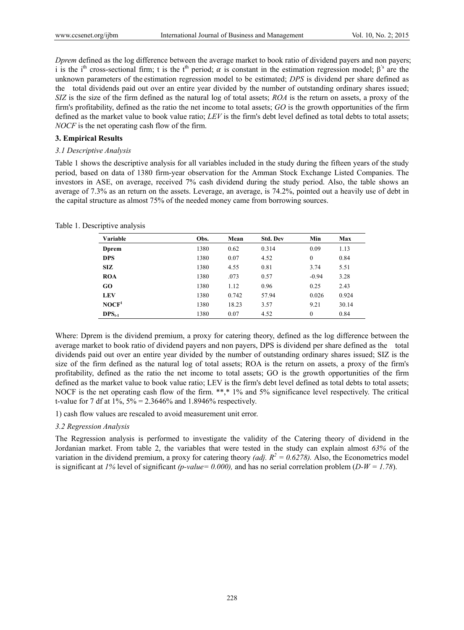*Dprem* defined as the log difference between the average market to book ratio of dividend payers and non payers; i is the i<sup>th</sup> cross-sectional firm; t is the t<sup>th</sup> period;  $\alpha$  is constant in the estimation regression model;  $\beta^s$  are the unknown parameters of the estimation regression model to be estimated; *DPS* is dividend per share defined as the total dividends paid out over an entire year divided by the number of outstanding ordinary shares issued; *SIZ* is the size of the firm defined as the natural log of total assets; *ROA* is the return on assets, a proxy of the firm's profitability, defined as the ratio the net income to total assets; *GO* is the growth opportunities of the firm defined as the market value to book value ratio; *LEV* is the firm's debt level defined as total debts to total assets; *NOCF* is the net operating cash flow of the firm.

# **3. Empirical Results**

# *3.1 Descriptive Analysis*

Table 1 shows the descriptive analysis for all variables included in the study during the fifteen years of the study period, based on data of 1380 firm-year observation for the Amman Stock Exchange Listed Companies. The investors in ASE, on average, received 7% cash dividend during the study period. Also, the table shows an average of 7.3% as an return on the assets. Leverage, an average, is 74.2%, pointed out a heavily use of debt in the capital structure as almost 75% of the needed money came from borrowing sources.

| Variable           | Obs. | Mean  | <b>Std. Dev</b> | Min      | Max   |
|--------------------|------|-------|-----------------|----------|-------|
| Dprem              | 1380 | 0.62  | 0.314           | 0.09     | 1.13  |
| <b>DPS</b>         | 1380 | 0.07  | 4.52            | $\theta$ | 0.84  |
| <b>SIZ</b>         | 1380 | 4.55  | 0.81            | 3.74     | 5.51  |
| <b>ROA</b>         | 1380 | .073  | 0.57            | $-0.94$  | 3.28  |
| GO                 | 1380 | 1.12  | 0.96            | 0.25     | 2.43  |
| <b>LEV</b>         | 1380 | 0.742 | 57.94           | 0.026    | 0.924 |
| NOCF <sup>1</sup>  | 1380 | 18.23 | 3.57            | 9.21     | 30.14 |
| $\text{DPS}_{t-1}$ | 1380 | 0.07  | 4.52            | $\theta$ | 0.84  |

Table 1. Descriptive analysis

Where: Dprem is the dividend premium, a proxy for catering theory, defined as the log difference between the average market to book ratio of dividend payers and non payers, DPS is dividend per share defined as the total dividends paid out over an entire year divided by the number of outstanding ordinary shares issued; SIZ is the size of the firm defined as the natural log of total assets; ROA is the return on assets, a proxy of the firm's profitability, defined as the ratio the net income to total assets; GO is the growth opportunities of the firm defined as the market value to book value ratio; LEV is the firm's debt level defined as total debts to total assets; NOCF is the net operating cash flow of the firm. \*\*,\* 1% and 5% significance level respectively. The critical t-value for 7 df at  $1\%$ ,  $5\% = 2.3646\%$  and  $1.8946\%$  respectively.

1) cash flow values are rescaled to avoid measurement unit error.

# *3.2 Regression Analysis*

The Regression analysis is performed to investigate the validity of the Catering theory of dividend in the Jordanian market. From table 2, the variables that were tested in the study can explain almost *63%* of the variation in the dividend premium, a proxy for catering theory *(adj.*  $R^2 = 0.6278$ ). Also, the Econometrics model is significant at *1%* level of significant *(p-value= 0.000),* and has no serial correlation problem (*D-W = 1.78*).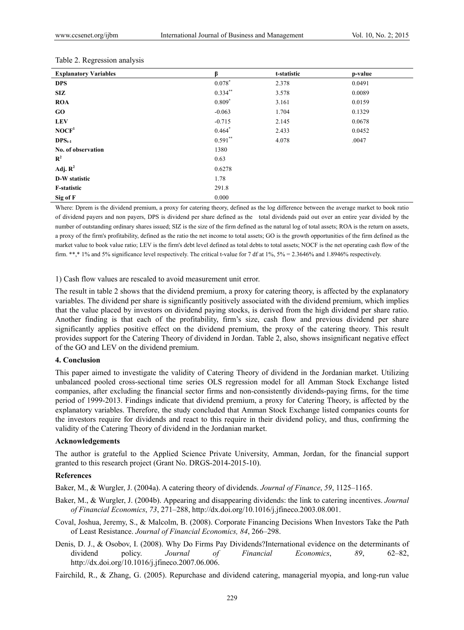| <b>Explanatory Variables</b> | β          | t-statistic | p-value |
|------------------------------|------------|-------------|---------|
| <b>DPS</b>                   | $0.078*$   | 2.378       | 0.0491  |
| SIZ                          | $0.334***$ | 3.578       | 0.0089  |
| <b>ROA</b>                   | $0.809*$   | 3.161       | 0.0159  |
| GO.                          | $-0.063$   | 1.704       | 0.1329  |
| <b>LEV</b>                   | $-0.715$   | 2.145       | 0.0678  |
| NOCF <sup>1</sup>            | $0.464*$   | 2.433       | 0.0452  |
| $\text{DPS}_{t-1}$           | $0.591**$  | 4.078       | .0047   |
| No. of observation           | 1380       |             |         |
| $\mathbf{R}^2$               | 0.63       |             |         |
| Adj. $\mathbb{R}^2$          | 0.6278     |             |         |
| D-W statistic                | 1.78       |             |         |
| <b>F-statistic</b>           | 291.8      |             |         |
| Sig of F                     | 0.000      |             |         |

#### Table 2. Regression analysis

Where: Dprem is the dividend premium, a proxy for catering theory, defined as the log difference between the average market to book ratio of dividend payers and non payers, DPS is dividend per share defined as the total dividends paid out over an entire year divided by the number of outstanding ordinary shares issued; SIZ is the size of the firm defined as the natural log of total assets; ROA is the return on assets, a proxy of the firm's profitability, defined as the ratio the net income to total assets; GO is the growth opportunities of the firm defined as the market value to book value ratio; LEV is the firm's debt level defined as total debts to total assets; NOCF is the net operating cash flow of the firm. \*\*,\* 1% and 5% significance level respectively. The critical t-value for 7 df at 1%, 5% = 2.3646% and 1.8946% respectively.

#### 1) Cash flow values are rescaled to avoid measurement unit error.

The result in table 2 shows that the dividend premium, a proxy for catering theory, is affected by the explanatory variables. The dividend per share is significantly positively associated with the dividend premium, which implies that the value placed by investors on dividend paying stocks, is derived from the high dividend per share ratio. Another finding is that each of the profitability, firm's size, cash flow and previous dividend per share significantly applies positive effect on the dividend premium, the proxy of the catering theory. This result provides support for the Catering Theory of dividend in Jordan. Table 2, also, shows insignificant negative effect of the GO and LEV on the dividend premium.

# **4. Conclusion**

This paper aimed to investigate the validity of Catering Theory of dividend in the Jordanian market. Utilizing unbalanced pooled cross-sectional time series OLS regression model for all Amman Stock Exchange listed companies, after excluding the financial sector firms and non-consistently dividends-paying firms, for the time period of 1999-2013. Findings indicate that dividend premium, a proxy for Catering Theory, is affected by the explanatory variables. Therefore, the study concluded that Amman Stock Exchange listed companies counts for the investors require for dividends and react to this require in their dividend policy, and thus, confirming the validity of the Catering Theory of dividend in the Jordanian market.

## **Acknowledgements**

The author is grateful to the Applied Science Private University, Amman, Jordan, for the financial support granted to this research project (Grant No. DRGS-2014-2015-10).

## **References**

Baker, M., & Wurgler, J. (2004a). A catering theory of dividends. *Journal of Finance*, *59*, 1125–1165.

- Baker, M., & Wurgler, J. (2004b). Appearing and disappearing dividends: the link to catering incentives. *Journal of Financial Economics*, *73*, 271–288, http://dx.doi.org/10.1016/j.jfineco.2003.08.001.
- Coval, Joshua, Jeremy, S., & Malcolm, B. (2008). Corporate Financing Decisions When Investors Take the Path of Least Resistance. *Journal of Financial Economics, 84*, 266–298.
- Denis, D. J., & Osobov, I. (2008). Why Do Firms Pay Dividends?International evidence on the determinants of dividend policy. *Journal of Financial Economics*, *89*, 62–82, http://dx.doi.org/10.1016/j.jfineco.2007.06.006.

Fairchild, R., & Zhang, G. (2005). Repurchase and dividend catering, managerial myopia, and long-run value